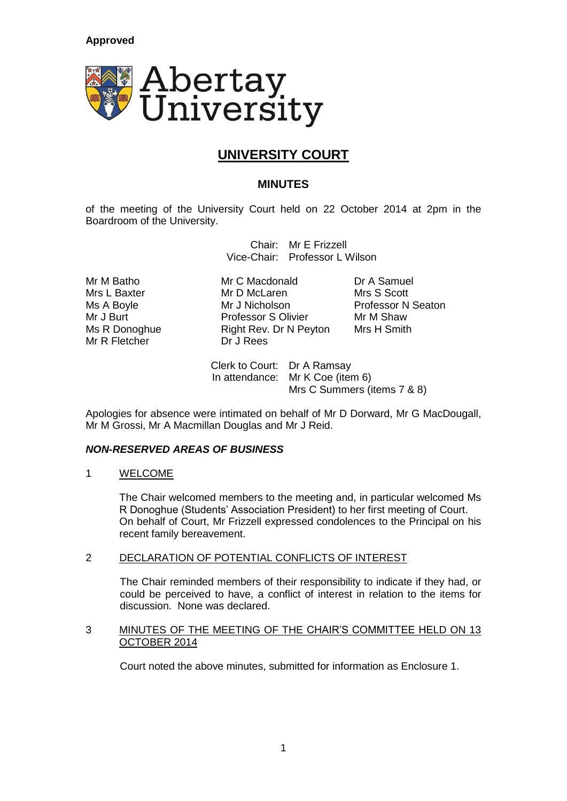

# **UNIVERSITY COURT**

## **MINUTES**

of the meeting of the University Court held on 22 October 2014 at 2pm in the Boardroom of the University.

> Chair: Mr E Frizzell Vice-Chair: Professor L Wilson

Mr R Fletcher Dr J Rees

Mr M Batho **Mr C Macdonald** Dr A Samuel<br>
Mrs L Baxter **Mr D McLaren** Mrs S Scott Mrs L Baxter Mr D McLaren Ms A Boyle **Mr J Nicholson** Professor N Seaton Mr J Burt **Notell Communist Professor S Olivier** Mr M Shaw<br>
Ms R Donoghue **Mr Smith** Right Rev. Dr N Peyton Mrs H Smith Ms R Donoghue Right Rev. Dr N Peyton

Clerk to Court: Dr A Ramsay In attendance: Mr K Coe (item 6) Mrs C Summers (items 7 & 8)

Apologies for absence were intimated on behalf of Mr D Dorward, Mr G MacDougall, Mr M Grossi, Mr A Macmillan Douglas and Mr J Reid.

## *NON-RESERVED AREAS OF BUSINESS*

1 WELCOME

The Chair welcomed members to the meeting and, in particular welcomed Ms R Donoghue (Students' Association President) to her first meeting of Court. On behalf of Court, Mr Frizzell expressed condolences to the Principal on his recent family bereavement.

## 2 DECLARATION OF POTENTIAL CONFLICTS OF INTEREST

The Chair reminded members of their responsibility to indicate if they had, or could be perceived to have, a conflict of interest in relation to the items for discussion. None was declared.

#### 3 MINUTES OF THE MEETING OF THE CHAIR'S COMMITTEE HELD ON 13 OCTOBER 2014

Court noted the above minutes, submitted for information as Enclosure 1.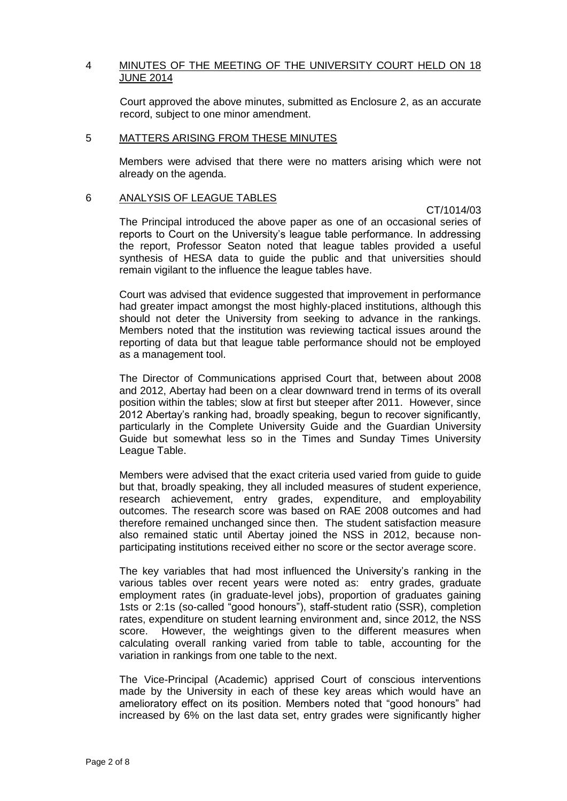## 4 MINUTES OF THE MEETING OF THE UNIVERSITY COURT HELD ON 18 JUNE 2014

Court approved the above minutes, submitted as Enclosure 2, as an accurate record, subject to one minor amendment.

#### 5 MATTERS ARISING FROM THESE MINUTES

Members were advised that there were no matters arising which were not already on the agenda.

#### 6 ANALYSIS OF LEAGUE TABLES

CT/1014/03

The Principal introduced the above paper as one of an occasional series of reports to Court on the University's league table performance. In addressing the report, Professor Seaton noted that league tables provided a useful synthesis of HESA data to guide the public and that universities should remain vigilant to the influence the league tables have.

Court was advised that evidence suggested that improvement in performance had greater impact amongst the most highly-placed institutions, although this should not deter the University from seeking to advance in the rankings. Members noted that the institution was reviewing tactical issues around the reporting of data but that league table performance should not be employed as a management tool.

The Director of Communications apprised Court that, between about 2008 and 2012, Abertay had been on a clear downward trend in terms of its overall position within the tables; slow at first but steeper after 2011. However, since 2012 Abertay's ranking had, broadly speaking, begun to recover significantly, particularly in the Complete University Guide and the Guardian University Guide but somewhat less so in the Times and Sunday Times University League Table.

Members were advised that the exact criteria used varied from guide to guide but that, broadly speaking, they all included measures of student experience, research achievement, entry grades, expenditure, and employability outcomes. The research score was based on RAE 2008 outcomes and had therefore remained unchanged since then. The student satisfaction measure also remained static until Abertay joined the NSS in 2012, because nonparticipating institutions received either no score or the sector average score.

The key variables that had most influenced the University's ranking in the various tables over recent years were noted as: entry grades, graduate employment rates (in graduate-level jobs), proportion of graduates gaining 1sts or 2:1s (so-called "good honours"), staff-student ratio (SSR), completion rates, expenditure on student learning environment and, since 2012, the NSS score. However, the weightings given to the different measures when calculating overall ranking varied from table to table, accounting for the variation in rankings from one table to the next.

The Vice-Principal (Academic) apprised Court of conscious interventions made by the University in each of these key areas which would have an amelioratory effect on its position. Members noted that "good honours" had increased by 6% on the last data set, entry grades were significantly higher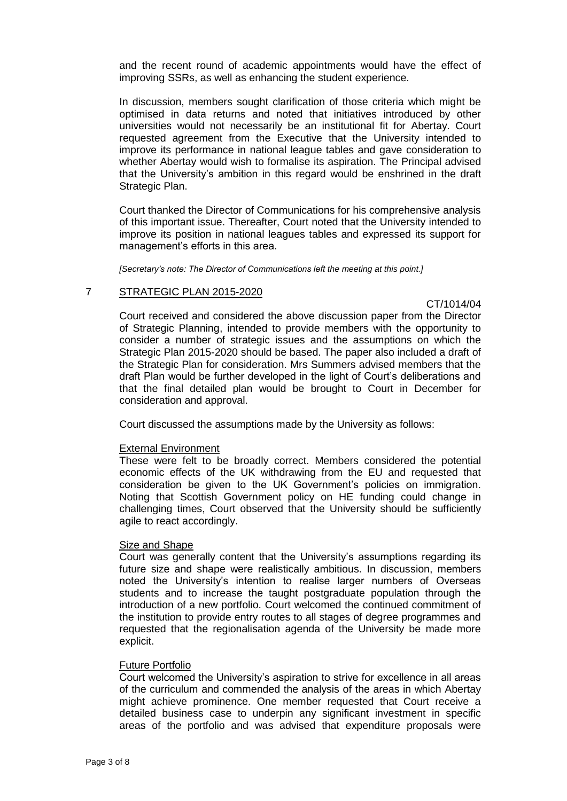and the recent round of academic appointments would have the effect of improving SSRs, as well as enhancing the student experience.

In discussion, members sought clarification of those criteria which might be optimised in data returns and noted that initiatives introduced by other universities would not necessarily be an institutional fit for Abertay. Court requested agreement from the Executive that the University intended to improve its performance in national league tables and gave consideration to whether Abertay would wish to formalise its aspiration. The Principal advised that the University's ambition in this regard would be enshrined in the draft Strategic Plan.

Court thanked the Director of Communications for his comprehensive analysis of this important issue. Thereafter, Court noted that the University intended to improve its position in national leagues tables and expressed its support for management's efforts in this area.

*[Secretary's note: The Director of Communications left the meeting at this point.]*

## 7 STRATEGIC PLAN 2015-2020

CT/1014/04

Court received and considered the above discussion paper from the Director of Strategic Planning, intended to provide members with the opportunity to consider a number of strategic issues and the assumptions on which the Strategic Plan 2015-2020 should be based. The paper also included a draft of the Strategic Plan for consideration. Mrs Summers advised members that the draft Plan would be further developed in the light of Court's deliberations and that the final detailed plan would be brought to Court in December for consideration and approval.

Court discussed the assumptions made by the University as follows:

#### External Environment

These were felt to be broadly correct. Members considered the potential economic effects of the UK withdrawing from the EU and requested that consideration be given to the UK Government's policies on immigration. Noting that Scottish Government policy on HE funding could change in challenging times, Court observed that the University should be sufficiently agile to react accordingly.

## **Size and Shape**

Court was generally content that the University's assumptions regarding its future size and shape were realistically ambitious. In discussion, members noted the University's intention to realise larger numbers of Overseas students and to increase the taught postgraduate population through the introduction of a new portfolio. Court welcomed the continued commitment of the institution to provide entry routes to all stages of degree programmes and requested that the regionalisation agenda of the University be made more explicit.

#### Future Portfolio

Court welcomed the University's aspiration to strive for excellence in all areas of the curriculum and commended the analysis of the areas in which Abertay might achieve prominence. One member requested that Court receive a detailed business case to underpin any significant investment in specific areas of the portfolio and was advised that expenditure proposals were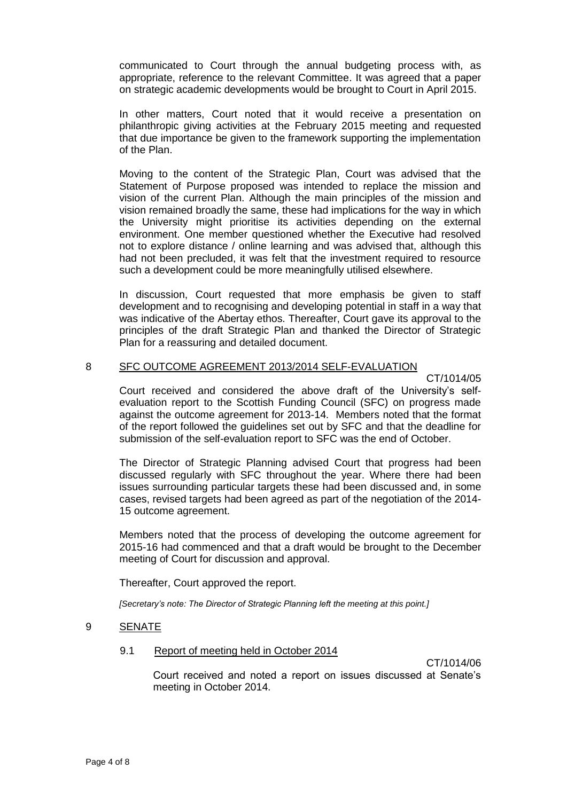communicated to Court through the annual budgeting process with, as appropriate, reference to the relevant Committee. It was agreed that a paper on strategic academic developments would be brought to Court in April 2015.

In other matters, Court noted that it would receive a presentation on philanthropic giving activities at the February 2015 meeting and requested that due importance be given to the framework supporting the implementation of the Plan.

Moving to the content of the Strategic Plan, Court was advised that the Statement of Purpose proposed was intended to replace the mission and vision of the current Plan. Although the main principles of the mission and vision remained broadly the same, these had implications for the way in which the University might prioritise its activities depending on the external environment. One member questioned whether the Executive had resolved not to explore distance / online learning and was advised that, although this had not been precluded, it was felt that the investment required to resource such a development could be more meaningfully utilised elsewhere.

In discussion, Court requested that more emphasis be given to staff development and to recognising and developing potential in staff in a way that was indicative of the Abertay ethos. Thereafter, Court gave its approval to the principles of the draft Strategic Plan and thanked the Director of Strategic Plan for a reassuring and detailed document.

## 8 SFC OUTCOME AGREEMENT 2013/2014 SELF-EVALUATION

CT/1014/05

Court received and considered the above draft of the University's selfevaluation report to the Scottish Funding Council (SFC) on progress made against the outcome agreement for 2013-14. Members noted that the format of the report followed the guidelines set out by SFC and that the deadline for submission of the self-evaluation report to SFC was the end of October.

The Director of Strategic Planning advised Court that progress had been discussed regularly with SFC throughout the year. Where there had been issues surrounding particular targets these had been discussed and, in some cases, revised targets had been agreed as part of the negotiation of the 2014- 15 outcome agreement.

Members noted that the process of developing the outcome agreement for 2015-16 had commenced and that a draft would be brought to the December meeting of Court for discussion and approval.

Thereafter, Court approved the report.

*[Secretary's note: The Director of Strategic Planning left the meeting at this point.]*

#### 9 SENATE

## 9.1 Report of meeting held in October 2014

CT/1014/06

Court received and noted a report on issues discussed at Senate's meeting in October 2014.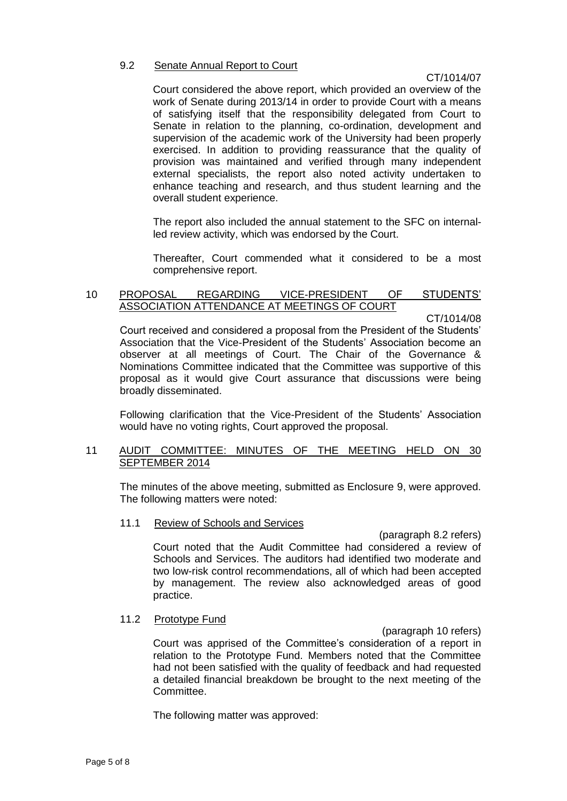## 9.2 Senate Annual Report to Court

## CT/1014/07

Court considered the above report, which provided an overview of the work of Senate during 2013/14 in order to provide Court with a means of satisfying itself that the responsibility delegated from Court to Senate in relation to the planning, co-ordination, development and supervision of the academic work of the University had been properly exercised. In addition to providing reassurance that the quality of provision was maintained and verified through many independent external specialists, the report also noted activity undertaken to enhance teaching and research, and thus student learning and the overall student experience.

The report also included the annual statement to the SFC on internalled review activity, which was endorsed by the Court.

Thereafter, Court commended what it considered to be a most comprehensive report.

#### 10 PROPOSAL REGARDING VICE-PRESIDENT OF STUDENTS' ASSOCIATION ATTENDANCE AT MEETINGS OF COURT

CT/1014/08

Court received and considered a proposal from the President of the Students' Association that the Vice-President of the Students' Association become an observer at all meetings of Court. The Chair of the Governance & Nominations Committee indicated that the Committee was supportive of this proposal as it would give Court assurance that discussions were being broadly disseminated.

Following clarification that the Vice-President of the Students' Association would have no voting rights, Court approved the proposal.

#### 11 AUDIT COMMITTEE: MINUTES OF THE MEETING HELD ON 30 SEPTEMBER 2014

The minutes of the above meeting, submitted as Enclosure 9, were approved. The following matters were noted:

11.1 Review of Schools and Services

(paragraph 8.2 refers) Court noted that the Audit Committee had considered a review of Schools and Services. The auditors had identified two moderate and two low-risk control recommendations, all of which had been accepted by management. The review also acknowledged areas of good practice.

#### 11.2 Prototype Fund

(paragraph 10 refers) Court was apprised of the Committee's consideration of a report in relation to the Prototype Fund. Members noted that the Committee had not been satisfied with the quality of feedback and had requested a detailed financial breakdown be brought to the next meeting of the Committee.

The following matter was approved: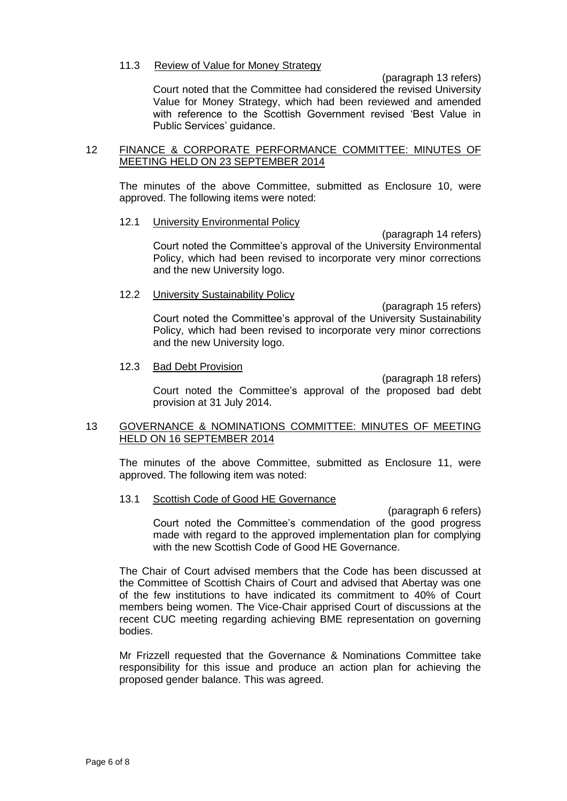#### 11.3 Review of Value for Money Strategy

(paragraph 13 refers)

Court noted that the Committee had considered the revised University Value for Money Strategy, which had been reviewed and amended with reference to the Scottish Government revised 'Best Value in Public Services' guidance.

#### 12 FINANCE & CORPORATE PERFORMANCE COMMITTEE: MINUTES OF MEETING HELD ON 23 SEPTEMBER 2014

The minutes of the above Committee, submitted as Enclosure 10, were approved. The following items were noted:

#### 12.1 University Environmental Policy

(paragraph 14 refers) Court noted the Committee's approval of the University Environmental Policy, which had been revised to incorporate very minor corrections and the new University logo.

#### 12.2 University Sustainability Policy

(paragraph 15 refers) Court noted the Committee's approval of the University Sustainability Policy, which had been revised to incorporate very minor corrections and the new University logo.

#### 12.3 Bad Debt Provision

(paragraph 18 refers)

Court noted the Committee's approval of the proposed bad debt provision at 31 July 2014.

## 13 GOVERNANCE & NOMINATIONS COMMITTEE: MINUTES OF MEETING HELD ON 16 SEPTEMBER 2014

The minutes of the above Committee, submitted as Enclosure 11, were approved. The following item was noted:

#### 13.1 Scottish Code of Good HE Governance

(paragraph 6 refers) Court noted the Committee's commendation of the good progress made with regard to the approved implementation plan for complying with the new Scottish Code of Good HE Governance.

The Chair of Court advised members that the Code has been discussed at the Committee of Scottish Chairs of Court and advised that Abertay was one of the few institutions to have indicated its commitment to 40% of Court members being women. The Vice-Chair apprised Court of discussions at the recent CUC meeting regarding achieving BME representation on governing bodies.

Mr Frizzell requested that the Governance & Nominations Committee take responsibility for this issue and produce an action plan for achieving the proposed gender balance. This was agreed.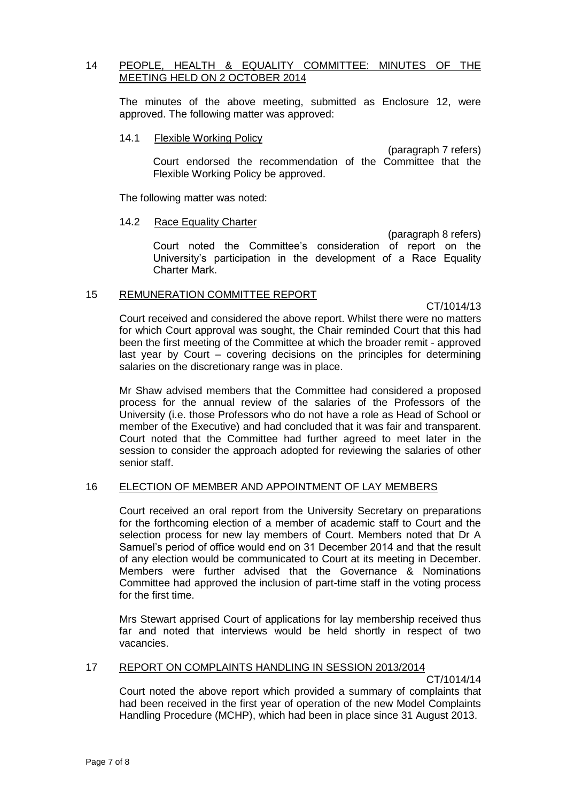## 14 PEOPLE, HEALTH & EQUALITY COMMITTEE: MINUTES OF THE MEETING HELD ON 2 OCTOBER 2014

The minutes of the above meeting, submitted as Enclosure 12, were approved. The following matter was approved:

#### 14.1 Flexible Working Policy

(paragraph 7 refers) Court endorsed the recommendation of the Committee that the Flexible Working Policy be approved.

The following matter was noted:

## 14.2 Race Equality Charter

(paragraph 8 refers) Court noted the Committee's consideration of report on the University's participation in the development of a Race Equality Charter Mark.

## 15 REMUNERATION COMMITTEE REPORT

CT/1014/13

Court received and considered the above report. Whilst there were no matters for which Court approval was sought, the Chair reminded Court that this had been the first meeting of the Committee at which the broader remit - approved last year by Court – covering decisions on the principles for determining salaries on the discretionary range was in place.

Mr Shaw advised members that the Committee had considered a proposed process for the annual review of the salaries of the Professors of the University (i.e. those Professors who do not have a role as Head of School or member of the Executive) and had concluded that it was fair and transparent. Court noted that the Committee had further agreed to meet later in the session to consider the approach adopted for reviewing the salaries of other senior staff.

## 16 ELECTION OF MEMBER AND APPOINTMENT OF LAY MEMBERS

Court received an oral report from the University Secretary on preparations for the forthcoming election of a member of academic staff to Court and the selection process for new lay members of Court. Members noted that Dr A Samuel's period of office would end on 31 December 2014 and that the result of any election would be communicated to Court at its meeting in December. Members were further advised that the Governance & Nominations Committee had approved the inclusion of part-time staff in the voting process for the first time.

Mrs Stewart apprised Court of applications for lay membership received thus far and noted that interviews would be held shortly in respect of two vacancies.

## 17 REPORT ON COMPLAINTS HANDLING IN SESSION 2013/2014

CT/1014/14

Court noted the above report which provided a summary of complaints that had been received in the first year of operation of the new Model Complaints Handling Procedure (MCHP), which had been in place since 31 August 2013.